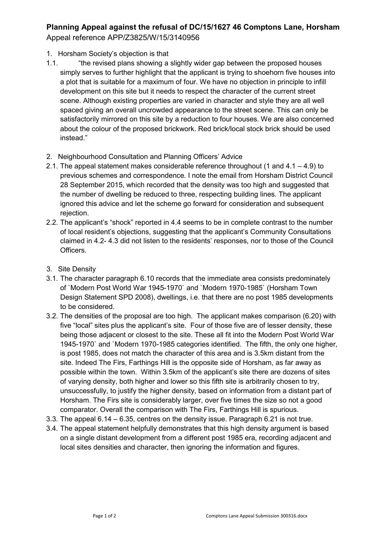## **Planning Appeal against the refusal of DC/15/1627 46 Comptons Lane, Horsham** Appeal reference APP/Z3825/W/15/3140956

- 1. Horsham Society's objection is that
- 1.1. "the revised plans showing a slightly wider gap between the proposed houses simply serves to further highlight that the applicant is trying to shoehorn five houses into a plot that is suitable for a maximum of four. We have no objection in principle to infill development on this site but it needs to respect the character of the current street scene. Although existing properties are varied in character and style they are all well spaced giving an overall uncrowded appearance to the street scene. This can only be satisfactorily mirrored on this site by a reduction to four houses. We are also concerned about the colour of the proposed brickwork. Red brick/local stock brick should be used instead."
- 2. Neighbourhood Consultation and Planning Officers' Advice
- 2.1. The appeal statement makes considerable reference throughout (1 and  $4.1 4.9$ ) to previous schemes and correspondence. I note the email from Horsham District Council 28 September 2015, which recorded that the density was too high and suggested that the number of dwelling be reduced to three, respecting building lines. The applicant ignored this advice and let the scheme go forward for consideration and subsequent rejection.
- 2.2. The applicant's "shock" reported in 4.4 seems to be in complete contrast to the number of local resident's objections, suggesting that the applicant's Community Consultations claimed in 4.2- 4.3 did not listen to the residents' responses, nor to those of the Council Officers.
- 3. Site Density
- 3.1. The character paragraph 6.10 records that the immediate area consists predominately of `Modern Post World War 1945-1970` and `Modern 1970-1985` (Horsham Town Design Statement SPD 2008), dwellings, i.e. that there are no post 1985 developments to be considered.
- 3.2. The densities of the proposal are too high. The applicant makes comparison (6.20) with five "local" sites plus the applicant's site. Four of those five are of lesser density, these being those adjacent or closest to the site. These all fit into the Modern Post World War 1945-1970` and `Modern 1970-1985 categories identified. The fifth, the only one higher, is post 1985, does not match the character of this area and is 3.5km distant from the site. Indeed The Firs, Farthings Hill is the opposite side of Horsham, as far away as possible within the town. Within 3.5km of the applicant's site there are dozens of sites of varying density, both higher and lower so this fifth site is arbitrarily chosen to try, unsuccessfully, to justify the higher density, based on information from a distant part of Horsham. The Firs site is considerably larger, over five times the size so not a good comparator. Overall the comparison with The Firs, Farthings Hill is spurious.
- 3.3. The appeal 6.14 6.35, centres on the density issue. Paragraph 6.21 is not true.
- 3.4. The appeal statement helpfully demonstrates that this high density argument is based on a single distant development from a different post 1985 era, recording adjacent and local sites densities and character, then ignoring the information and figures.